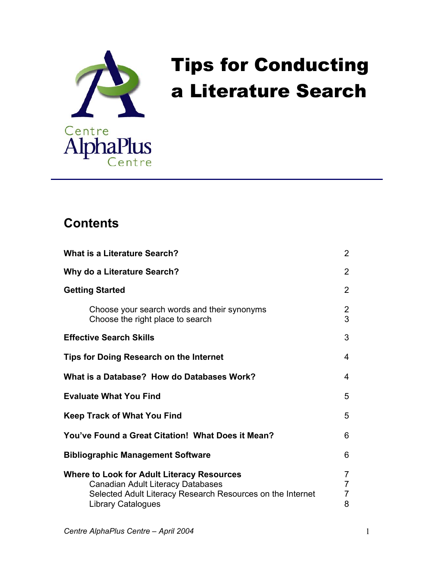

# Tips for Conducting a Literature Search

## **Contents**

| <b>What is a Literature Search?</b>                                                                                                                                                      | $\overline{2}$                                          |
|------------------------------------------------------------------------------------------------------------------------------------------------------------------------------------------|---------------------------------------------------------|
| Why do a Literature Search?                                                                                                                                                              | 2                                                       |
| <b>Getting Started</b>                                                                                                                                                                   | 2                                                       |
| Choose your search words and their synonyms<br>Choose the right place to search                                                                                                          | $\overline{2}$<br>3                                     |
| <b>Effective Search Skills</b>                                                                                                                                                           | 3                                                       |
| Tips for Doing Research on the Internet                                                                                                                                                  | 4                                                       |
| What is a Database? How do Databases Work?                                                                                                                                               | 4                                                       |
| <b>Evaluate What You Find</b>                                                                                                                                                            | 5                                                       |
| <b>Keep Track of What You Find</b>                                                                                                                                                       | 5                                                       |
| You've Found a Great Citation! What Does it Mean?                                                                                                                                        | 6                                                       |
| <b>Bibliographic Management Software</b>                                                                                                                                                 | 6                                                       |
| <b>Where to Look for Adult Literacy Resources</b><br><b>Canadian Adult Literacy Databases</b><br>Selected Adult Literacy Research Resources on the Internet<br><b>Library Catalogues</b> | $\overline{7}$<br>$\overline{7}$<br>$\overline{7}$<br>8 |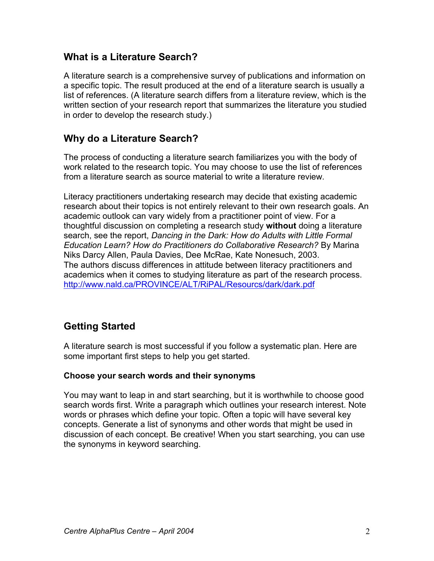#### **What is a Literature Search?**

A literature search is a comprehensive survey of publications and information on a specific topic. The result produced at the end of a literature search is usually a list of references. (A literature search differs from a literature review, which is the written section of your research report that summarizes the literature you studied in order to develop the research study.)

#### **Why do a Literature Search?**

The process of conducting a literature search familiarizes you with the body of work related to the research topic. You may choose to use the list of references from a literature search as source material to write a literature review*.*

Literacy practitioners undertaking research may decide that existing academic research about their topics is not entirely relevant to their own research goals. An academic outlook can vary widely from a practitioner point of view. For a thoughtful discussion on completing a research study **without** doing a literature search, see the report, *Dancing in the Dark: How do Adults with Little Formal Education Learn? How do Practitioners do Collaborative Research?* By Marina Niks Darcy Allen, Paula Davies, Dee McRae, Kate Nonesuch, 2003. The authors discuss differences in attitude between literacy practitioners and academics when it comes to studying literature as part of the research process. <http://www.nald.ca/PROVINCE/ALT/RiPAL/Resourcs/dark/dark.pdf>

## **Getting Started**

A literature search is most successful if you follow a systematic plan. Here are some important first steps to help you get started.

#### **Choose your search words and their synonyms**

You may want to leap in and start searching, but it is worthwhile to choose good search words first. Write a paragraph which outlines your research interest. Note words or phrases which define your topic. Often a topic will have several key concepts. Generate a list of synonyms and other words that might be used in discussion of each concept. Be creative! When you start searching, you can use the synonyms in keyword searching.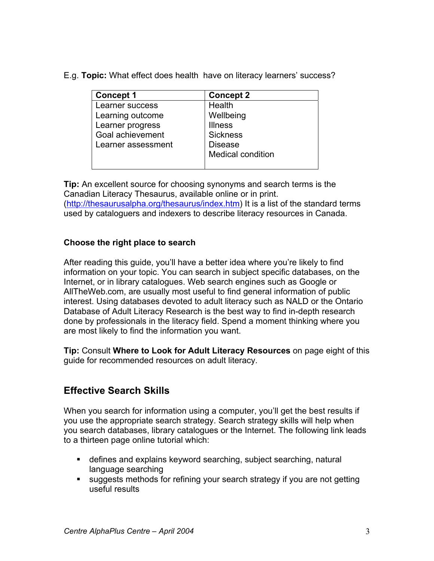E.g. **Topic:** What effect does health have on literacy learners' success?

| <b>Concept 1</b>   | <b>Concept 2</b>  |
|--------------------|-------------------|
| Learner success    | Health            |
| Learning outcome   | Wellbeing         |
| Learner progress   | <b>Illness</b>    |
| Goal achievement   | <b>Sickness</b>   |
| Learner assessment | <b>Disease</b>    |
|                    | Medical condition |
|                    |                   |

**Tip:** An excellent source for choosing synonyms and search terms is the Canadian Literacy Thesaurus, available online or in print. [\(http://thesaurusalpha.org/thesaurus/index.htm\)](http://thesaurusalpha.org/thesaurus/index.htm) It is a list of the standard terms used by cataloguers and indexers to describe literacy resources in Canada.

#### **Choose the right place to search**

After reading this guide, you'll have a better idea where you're likely to find information on your topic. You can search in subject specific databases, on the Internet, or in library catalogues. Web search engines such as Google or AllTheWeb.com, are usually most useful to find general information of public interest. Using databases devoted to adult literacy such as NALD or the Ontario Database of Adult Literacy Research is the best way to find in-depth research done by professionals in the literacy field. Spend a moment thinking where you are most likely to find the information you want.

**Tip:** Consult **Where to Look for Adult Literacy Resources** on page eight of this guide for recommended resources on adult literacy.

## **Effective Search Skills**

When you search for information using a computer, you'll get the best results if you use the appropriate search strategy. Search strategy skills will help when you search databases, library catalogues or the Internet. The following link leads to a thirteen page online tutorial which:

- defines and explains keyword searching, subject searching, natural language searching
- suggests methods for refining your search strategy if you are not getting useful results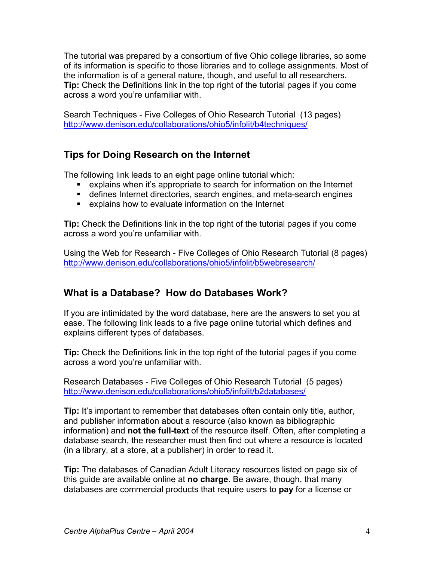The tutorial was prepared by a consortium of five Ohio college libraries, so some of its information is specific to those libraries and to college assignments. Most of the information is of a general nature, though, and useful to all researchers. **Tip:** Check the Definitions link in the top right of the tutorial pages if you come across a word you're unfamiliar with.

Search Techniques - Five Colleges of Ohio Research Tutorial (13 pages) <http://www.denison.edu/collaborations/ohio5/infolit/b4techniques/>

## **Tips for Doing Research on the Internet**

The following link leads to an eight page online tutorial which:

- explains when it's appropriate to search for information on the Internet
- defines Internet directories, search engines, and meta-search engines
- explains how to evaluate information on the Internet

**Tip:** Check the Definitions link in the top right of the tutorial pages if you come across a word you're unfamiliar with.

Using the Web for Research - Five Colleges of Ohio Research Tutorial (8 pages) <http://www.denison.edu/collaborations/ohio5/infolit/b5webresearch/>

## **What is a Database? How do Databases Work?**

If you are intimidated by the word database, here are the answers to set you at ease. The following link leads to a five page online tutorial which defines and explains different types of databases.

**Tip:** Check the Definitions link in the top right of the tutorial pages if you come across a word you're unfamiliar with.

Research Databases - Five Colleges of Ohio Research Tutorial (5 pages) <http://www.denison.edu/collaborations/ohio5/infolit/b2databases/>

**Tip:** It's important to remember that databases often contain only title, author, and publisher information about a resource (also known as bibliographic information) and **not the full-text** of the resource itself. Often, after completing a database search, the researcher must then find out where a resource is located (in a library, at a store, at a publisher) in order to read it.

**Tip:** The databases of Canadian Adult Literacy resources listed on page six of this guide are available online at **no charge**. Be aware, though, that many databases are commercial products that require users to **pay** for a license or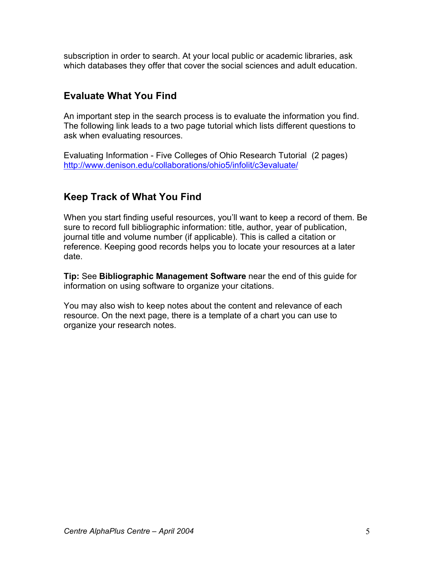subscription in order to search. At your local public or academic libraries, ask which databases they offer that cover the social sciences and adult education.

### **Evaluate What You Find**

An important step in the search process is to evaluate the information you find. The following link leads to a two page tutorial which lists different questions to ask when evaluating resources.

Evaluating Information - Five Colleges of Ohio Research Tutorial (2 pages) <http://www.denison.edu/collaborations/ohio5/infolit/c3evaluate/>

#### **Keep Track of What You Find**

When you start finding useful resources, you'll want to keep a record of them. Be sure to record full bibliographic information: title, author, year of publication, journal title and volume number (if applicable). This is called a citation or reference. Keeping good records helps you to locate your resources at a later date.

**Tip:** See **Bibliographic Management Software** near the end of this guide for information on using software to organize your citations.

You may also wish to keep notes about the content and relevance of each resource. On the next page, there is a template of a chart you can use to organize your research notes.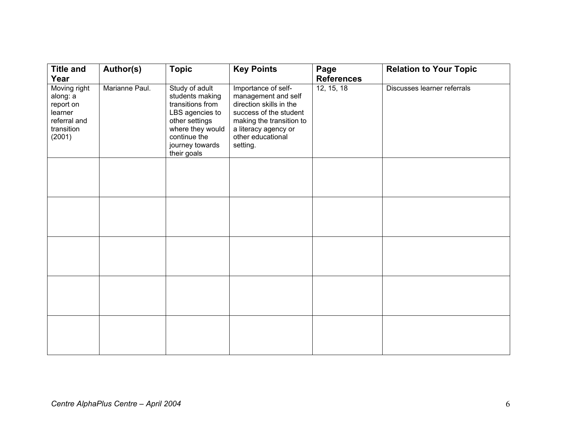| <b>Title and</b>                                                                                 | Author(s)      | <b>Topic</b>                                                                                                                                                     | <b>Key Points</b>                                                                                                                                                                    | Page                            | <b>Relation to Your Topic</b> |
|--------------------------------------------------------------------------------------------------|----------------|------------------------------------------------------------------------------------------------------------------------------------------------------------------|--------------------------------------------------------------------------------------------------------------------------------------------------------------------------------------|---------------------------------|-------------------------------|
| Year<br>Moving right<br>along: a<br>report on<br>learner<br>referral and<br>transition<br>(2001) | Marianne Paul. | Study of adult<br>students making<br>transitions from<br>LBS agencies to<br>other settings<br>where they would<br>continue the<br>journey towards<br>their goals | Importance of self-<br>management and self<br>direction skills in the<br>success of the student<br>making the transition to<br>a literacy agency or<br>other educational<br>setting. | <b>References</b><br>12, 15, 18 | Discusses learner referrals   |
|                                                                                                  |                |                                                                                                                                                                  |                                                                                                                                                                                      |                                 |                               |
|                                                                                                  |                |                                                                                                                                                                  |                                                                                                                                                                                      |                                 |                               |
|                                                                                                  |                |                                                                                                                                                                  |                                                                                                                                                                                      |                                 |                               |
|                                                                                                  |                |                                                                                                                                                                  |                                                                                                                                                                                      |                                 |                               |
|                                                                                                  |                |                                                                                                                                                                  |                                                                                                                                                                                      |                                 |                               |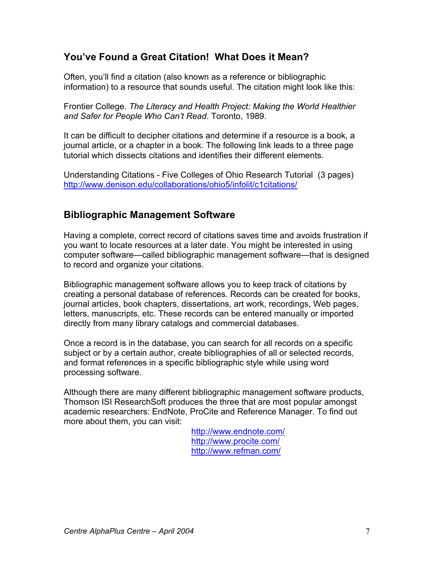### **You've Found a Great Citation! What Does it Mean?**

Often, you'll find a citation (also known as a reference or bibliographic information) to a resource that sounds useful. The citation might look like this:

Frontier College. *The Literacy and Health Project: Making the World Healthier and Safer for People Who Can't Read*. Toronto, 1989.

It can be difficult to decipher citations and determine if a resource is a book, a journal article, or a chapter in a book. The following link leads to a three page tutorial which dissects citations and identifies their different elements.

Understanding Citations - Five Colleges of Ohio Research Tutorial (3 pages) <http://www.denison.edu/collaborations/ohio5/infolit/c1citations/>

#### **Bibliographic Management Software**

Having a complete, correct record of citations saves time and avoids frustration if you want to locate resources at a later date. You might be interested in using computer software—called bibliographic management software—that is designed to record and organize your citations.

Bibliographic management software allows you to keep track of citations by creating a personal database of references. Records can be created for books, journal articles, book chapters, dissertations, art work, recordings, Web pages, letters, manuscripts, etc. These records can be entered manually or imported directly from many library catalogs and commercial databases.

Once a record is in the database, you can search for all records on a specific subject or by a certain author, create bibliographies of all or selected records, and format references in a specific bibliographic style while using word processing software.

Although there are many different bibliographic management software products, Thomson ISI ResearchSoft produces the three that are most popular amongst academic researchers: EndNote, ProCite and Reference Manager. To find out more about them, you can visit:

> <http://www.endnote.com/> <http://www.procite.com/> <http://www.refman.com/>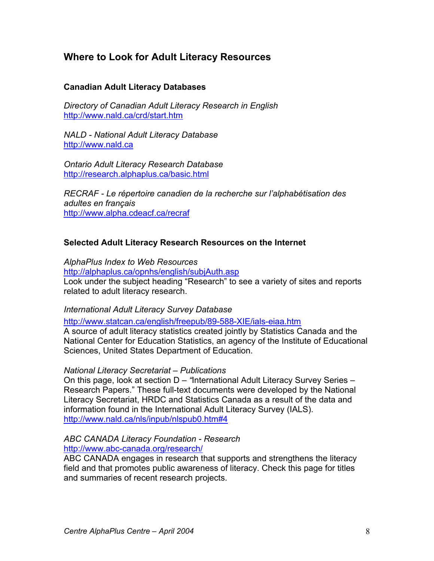#### **Where to Look for Adult Literacy Resources**

#### **Canadian Adult Literacy Databases**

*Directory of Canadian Adult Literacy Research in English*  <http://www.nald.ca/crd/start.htm>

*NALD - National Adult Literacy Database*  <http://www.nald.ca>

*Ontario Adult Literacy Research Database*  <http://research.alphaplus.ca/basic.html>

*RECRAF - Le répertoire canadien de la recherche sur l'alphabétisation des adultes en français*  <http://www.alpha.cdeacf.ca/recraf>

#### **Selected Adult Literacy Research Resources on the Internet**

*AlphaPlus Index to Web Resources*

<http://alphaplus.ca/opnhs/english/subjAuth.asp> Look under the subject heading "Research" to see a variety of sites and reports related to adult literacy research.

*International Adult Literacy Survey Database* 

<http://www.statcan.ca/english/freepub/89-588-XIE/ials-eiaa.htm>

A source of adult literacy statistics created jointly by Statistics Canada and the National Center for Education Statistics, an agency of the Institute of Educational Sciences, United States Department of Education.

#### *National Literacy Secretariat – Publications*

On this page, look at section D *– "*International Adult Literacy Survey Series – Research Papers." These full-text documents were developed by the National Literacy Secretariat, HRDC and Statistics Canada as a result of the data and information found in the International Adult Literacy Survey (IALS). <http://www.nald.ca/nls/inpub/nlspub0.htm#4>

#### *ABC CANADA Literacy Foundation - Research*  <http://www.abc-canada.org/research/>

ABC CANADA engages in research that supports and strengthens the literacy field and that promotes public awareness of literacy. Check this page for titles and summaries of recent research projects.